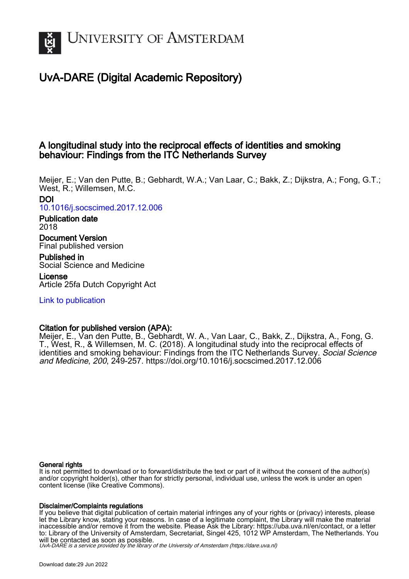

# UvA-DARE (Digital Academic Repository)

## A longitudinal study into the reciprocal effects of identities and smoking behaviour: Findings from the ITC Netherlands Survey

Meijer, E.; Van den Putte, B.; Gebhardt, W.A.; Van Laar, C.; Bakk, Z.; Dijkstra, A.; Fong, G.T.; West, R.; Willemsen, M.C. DOI [10.1016/j.socscimed.2017.12.006](https://doi.org/10.1016/j.socscimed.2017.12.006)

Publication date 2018

Document Version Final published version

Published in Social Science and Medicine License

Article 25fa Dutch Copyright Act

[Link to publication](https://dare.uva.nl/personal/pure/en/publications/a-longitudinal-study-into-the-reciprocal-effects-of-identities-and-smoking-behaviour-findings-from-the-itc-netherlands-survey(5f7adbdd-8e54-4b01-8ea1-c3a3859f6703).html)

## Citation for published version (APA):

Meijer, E., Van den Putte, B., Gebhardt, W. A., Van Laar, C., Bakk, Z., Dijkstra, A., Fong, G. T., West, R., & Willemsen, M. C. (2018). A longitudinal study into the reciprocal effects of identities and smoking behaviour: Findings from the ITC Netherlands Survey. Social Science and Medicine, 200, 249-257.<https://doi.org/10.1016/j.socscimed.2017.12.006>

## General rights

It is not permitted to download or to forward/distribute the text or part of it without the consent of the author(s) and/or copyright holder(s), other than for strictly personal, individual use, unless the work is under an open content license (like Creative Commons).

## Disclaimer/Complaints regulations

If you believe that digital publication of certain material infringes any of your rights or (privacy) interests, please let the Library know, stating your reasons. In case of a legitimate complaint, the Library will make the material inaccessible and/or remove it from the website. Please Ask the Library: https://uba.uva.nl/en/contact, or a letter to: Library of the University of Amsterdam, Secretariat, Singel 425, 1012 WP Amsterdam, The Netherlands. You will be contacted as soon as possible.

UvA-DARE is a service provided by the library of the University of Amsterdam (http*s*://dare.uva.nl)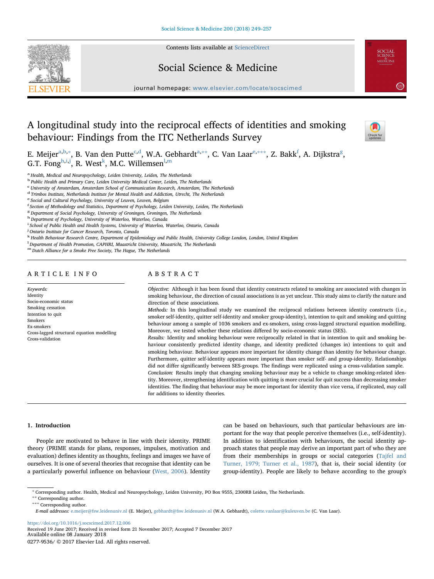

Contents lists available at [ScienceDirect](http://www.sciencedirect.com/science/journal/02779536)

## Social Science & Medicine

journal homepage: [www.elsevier.com/locate/socscimed](https://www.elsevier.com/locate/socscimed)

## A longitudinal study into the reciprocal effects of identities and smoking behaviour: Findings from the ITC Netherlands Survey



**SOCIAL**<br>SCIENCE<br>MEDICINE

 $\left( \frac{2.814}{2.814} \right)$ 

E. Meijer<sup>[a](#page-1-0),[b,](#page-1-1)</sup>\*, B. Van den Putte<sup>[c](#page-1-3),[d](#page-1-4)</sup>, W.A. Gebhardt<sup>a,</sup>\*\*, C. Van Laar<sup>[e,](#page-1-6)</sup>\*\*\*, Z. Bakk<sup>[f](#page-1-8)</sup>, A. Dijkstra<sup>[g](#page-1-9)</sup>, G.T. Fong $^{\rm h,i,j}$  $^{\rm h,i,j}$  $^{\rm h,i,j}$  $^{\rm h,i,j}$  $^{\rm h,i,j}$ , R. West $^{\rm k}$  $^{\rm k}$  $^{\rm k}$ , M.C. Wi[l](#page-1-14)lemsen $^{\rm l,m}$  $^{\rm l,m}$  $^{\rm l,m}$ 

<span id="page-1-0"></span><sup>a</sup> Health, Medical and Neuropsychology, Leiden University, Leiden, The Netherlands

<span id="page-1-1"></span><sup>b</sup> Public Health and Primary Care, Leiden University Medical Center, Leiden, The Netherlands

<span id="page-1-3"></span><sup>c</sup> University of Amsterdam, Amsterdam School of Communication Research, Amsterdam, The Netherlands

<span id="page-1-4"></span><sup>d</sup> Trimbos Institute, Netherlands Institute for Mental Health and Addiction, Utrecht, The Netherlands

<span id="page-1-6"></span><sup>e</sup> Social and Cultural Psychology, University of Leuven, Leuven, Belgium

<span id="page-1-8"></span>f Section of Methodology and Statistics, Department of Psychology, Leiden University, Leiden, The Netherlands

<span id="page-1-9"></span> $8$  Department of Social Psychology, University of Groningen, Groningen, The Netherlands

<span id="page-1-10"></span>h Department of Psychology, University of Waterloo, Waterloo, Canada

<span id="page-1-11"></span><sup>i</sup> School of Public Health and Health Systems, University of Waterloo, Waterloo, Ontario, Canada

<span id="page-1-12"></span><sup>j</sup> Ontario Institute for Cancer Research, Toronto, Canada

<span id="page-1-13"></span>k Health Behaviour Research Centre, Department of Epidemiology and Public Health, University College London, London, United Kingdom

<span id="page-1-14"></span><sup>1</sup> Department of Health Promotion, CAPHRI, Maastricht University, Maastricht, The Netherlands

<span id="page-1-15"></span><sup>m</sup> Dutch Alliance for a Smoke Free Society, The Hague, The Netherlands

## ARTICLE INFO

Keywords: Identity Socio-economic status Smoking cessation Intention to quit Smokers Ex-smokers Cross-lagged structural equation modelling Cross-validation

### ABSTRACT

Objective: Although it has been found that identity constructs related to smoking are associated with changes in smoking behaviour, the direction of causal associations is as yet unclear. This study aims to clarify the nature and direction of these associations.

Methods: In this longitudinal study we examined the reciprocal relations between identity constructs (i.e., smoker self-identity, quitter self-identity and smoker group-identity), intention to quit and smoking and quitting behaviour among a sample of 1036 smokers and ex-smokers, using cross-lagged structural equation modelling. Moreover, we tested whether these relations differed by socio-economic status (SES).

Results: Identity and smoking behaviour were reciprocally related in that in intention to quit and smoking behaviour consistently predicted identity change, and identity predicted (changes in) intentions to quit and smoking behaviour. Behaviour appears more important for identity change than identity for behaviour change. Furthermore, quitter self-identity appears more important than smoker self- and group-identity. Relationships did not differ significantly between SES-groups. The findings were replicated using a cross-validation sample. Conclusion: Results imply that changing smoking behaviour may be a vehicle to change smoking-related identity. Moreover, strengthening identification with quitting is more crucial for quit success than decreasing smoker

identities. The finding that behaviour may be more important for identity than vice versa, if replicated, may call for additions to identity theories.

#### 1. Introduction

People are motivated to behave in line with their identity. PRIME theory (PRIME stands for plans, responses, impulses, motivation and evaluation) defines identity as thoughts, feelings and images we have of ourselves. It is one of several theories that recognise that identity can be a particularly powerful influence on behaviour [\(West, 2006\)](#page-9-0). Identity

can be based on behaviours, such that particular behaviours are important for the way that people perceive themselves (i.e., self-identity). In addition to identification with behaviours, the social identity approach states that people may derive an important part of who they are from their memberships in groups or social categories [\(Tajfel and](#page-9-1) [Turner, 1979; Turner et al., 1987](#page-9-1)), that is, their social identity (or group-identity). People are likely to behave according to the group's

<span id="page-1-7"></span>∗∗ Corresponding author. ∗∗∗ Corresponding author.

<https://doi.org/10.1016/j.socscimed.2017.12.006> Received 19 June 2017; Received in revised form 21 November 2017; Accepted 7 December 2017 Available online 08 January 2018

0277-9536/ © 2017 Elsevier Ltd. All rights reserved.

<span id="page-1-5"></span><span id="page-1-2"></span><sup>∗</sup> Corresponding author. Health, Medical and Neuropsychology, Leiden University, PO Box 9555, 2300RB Leiden, The Netherlands.

E-mail addresses: [e.meijer@fsw.leidenuniv.nl](mailto:e.meijer@fsw.leidenuniv.nl) (E. Meijer), [gebhardt@fsw.leidenuniv.nl](mailto:gebhardt@fsw.leidenuniv.nl) (W.A. Gebhardt), [colette.vanlaar@kuleuven.be](mailto:colette.vanlaar@kuleuven.be) (C. Van Laar).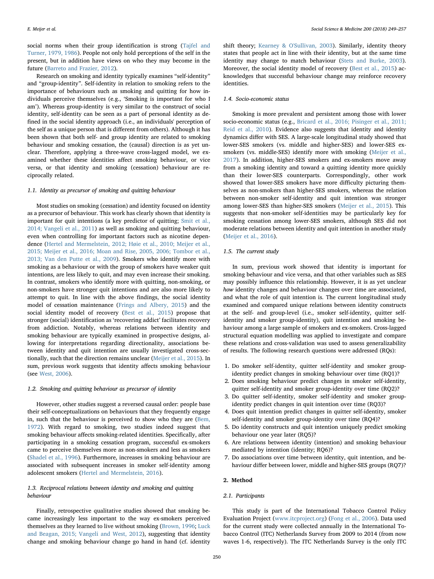social norms when their group identification is strong ([Tajfel and](#page-9-1) [Turner, 1979, 1986](#page-9-1)). People not only hold perceptions of the self in the present, but in addition have views on who they may become in the future ([Barreto and Frazier, 2012\)](#page-8-0).

Research on smoking and identity typically examines "self-identity" and "group-identity". Self-identity in relation to smoking refers to the importance of behaviours such as smoking and quitting for how individuals perceive themselves (e.g., 'Smoking is important for who I am'). Whereas group-identity is very similar to the construct of social identity, self-identity can be seen as a part of personal identity as defined in the social identity approach (i.e., an individuals' perception of the self as a unique person that is different from others). Although it has been shown that both self- and group identity are related to smoking behaviour and smoking cessation, the (causal) direction is as yet unclear. Therefore, applying a three-wave cross-lagged model, we examined whether these identities affect smoking behaviour, or vice versa, or that identity and smoking (cessation) behaviour are reciprocally related.

#### 1.1. Identity as precursor of smoking and quitting behaviour

Most studies on smoking (cessation) and identity focused on identity as a precursor of behaviour. This work has clearly shown that identity is important for quit intentions (a key predictor of quitting; [Smit et al.,](#page-9-2) [2014; Vangeli et al., 2011](#page-9-2)) as well as smoking and quitting behaviour, even when controlling for important factors such as nicotine dependence [\(Hertel and Mermelstein, 2012; Høie et al., 2010; Meijer et al.,](#page-8-1) [2015; Meijer et al., 2016; Moan and Rise, 2005, 2006; Tombor et al.,](#page-8-1) [2013; Van den Putte et al., 2009\)](#page-8-1). Smokers who identify more with smoking as a behaviour or with the group of smokers have weaker quit intentions, are less likely to quit, and may even increase their smoking. In contrast, smokers who identify more with quitting, non-smoking, or non-smokers have stronger quit intentions and are also more likely to attempt to quit. In line with the above findings, the social identity model of cessation maintenance ([Frings and Albery, 2015](#page-8-2)) and the social identity model of recovery ([Best et al., 2015\)](#page-8-3) propose that stronger (social) identification as 'recovering addict' facilitates recovery from addiction. Notably, whereas relations between identity and smoking behaviour are typically examined in prospective designs, allowing for interpretations regarding directionality, associations between identity and quit intention are usually investigated cross-sectionally, such that the direction remains unclear [\(Meijer et al., 2015](#page-9-3)). In sum, previous work suggests that identity affects smoking behaviour (see [West, 2006](#page-9-0)).

#### 1.2. Smoking and quitting behaviour as precursor of identity

However, other studies suggest a reversed causal order: people base their self-conceptualizations on behaviours that they frequently engage in, such that the behaviour is perceived to show who they are ([Bem,](#page-8-4) [1972\)](#page-8-4). With regard to smoking, two studies indeed suggest that smoking behaviour affects smoking-related identities. Specifically, after participating in a smoking cessation program, successful ex-smokers came to perceive themselves more as non-smokers and less as smokers ([Shadel et al., 1996\)](#page-9-4). Furthermore, increases in smoking behaviour are associated with subsequent increases in smoker self-identity among adolescent smokers ([Hertel and Mermelstein, 2016\)](#page-8-5).

### 1.3. Reciprocal relations between identity and smoking and quitting behaviour

Finally, retrospective qualitative studies showed that smoking became increasingly less important to the way ex-smokers perceived themselves as they learned to live without smoking [\(Brown, 1996;](#page-8-6) [Luck](#page-8-7) [and Beagan, 2015; Vangeli and West, 2012](#page-8-7)), suggesting that identity change and smoking behaviour change go hand in hand (cf. identity

shift theory; [Kearney & O'Sullivan, 2003\)](#page-8-8). Similarly, identity theory states that people act in line with their identity, but at the same time identity may change to match behaviour [\(Stets and Burke, 2003](#page-9-5)). Moreover, the social identity model of recovery [\(Best et al., 2015\)](#page-8-3) acknowledges that successful behaviour change may reinforce recovery identities.

#### 1.4. Socio-economic status

Smoking is more prevalent and persistent among those with lower socio-economic status (e.g., [Bricard et al., 2016; Pisinger et al., 2011;](#page-8-9) [Reid et al., 2010](#page-8-9)). Evidence also suggests that identity and identity dynamics differ with SES. A large-scale longitudinal study showed that lower-SES smokers (vs. middle and higher-SES) and lower-SES exsmokers (vs. middle-SES) identify more with smoking [\(Meijer et al.,](#page-9-6) [2017\)](#page-9-6). In addition, higher-SES smokers and ex-smokers move away from a smoking identity and toward a quitting identity more quickly than their lower-SES counterparts. Correspondingly, other work showed that lower-SES smokers have more difficulty picturing themselves as non-smokers than higher-SES smokers, whereas the relation between non-smoker self-identity and quit intention was stronger among lower-SES than higher-SES smokers [\(Meijer et al., 2015](#page-9-3)). This suggests that non-smoker self-identities may be particularly key for smoking cessation among lower-SES smokers, although SES did not moderate relations between identity and quit intention in another study ([Meijer et al., 2016\)](#page-9-7).

#### 1.5. The current study

In sum, previous work showed that identity is important for smoking behaviour and vice versa, and that other variables such as SES may possibly influence this relationship. However, it is as yet unclear how identity changes and behaviour changes over time are associated, and what the role of quit intention is. The current longitudinal study examined and compared unique relations between identity constructs at the self- and group-level (i.e., smoker self-identity, quitter selfidentity and smoker group-identity), quit intention and smoking behaviour among a large sample of smokers and ex-smokers. Cross-lagged structural equation modelling was applied to investigate and compare these relations and cross-validation was used to assess generalizability of results. The following research questions were addressed (RQs):

- 1. Do smoker self-identity, quitter self-identity and smoker groupidentity predict changes in smoking behaviour over time (RQ1)?
- 2. Does smoking behaviour predict changes in smoker self-identity, quitter self-identity and smoker group-identity over time (RQ2)?
- 3. Do quitter self-identity, smoker self-identity and smoker groupidentity predict changes in quit intention over time (RQ3)?
- 4. Does quit intention predict changes in quitter self-identity, smoker self-identity and smoker group-identity over time (RQ4)?
- 5. Do identity constructs and quit intention uniquely predict smoking behaviour one year later (RQ5)?
- 6. Are relations between identity (intention) and smoking behaviour mediated by intention (identity; RQ6)?
- 7. Do associations over time between identity, quit intention, and behaviour differ between lower, middle and higher-SES groups (RQ7)?

#### 2. Method

#### 2.1. Participants

This study is part of the International Tobacco Control Policy Evaluation Project [\(www.itcproject.org\)](http://www.itcproject.org/) [\(Fong et al., 2006\)](#page-8-10). Data used for the current study were collected annually in the International Tobacco Control (ITC) Netherlands Survey from 2009 to 2014 (from now waves 1-6, respectively). The ITC Netherlands Survey is the only ITC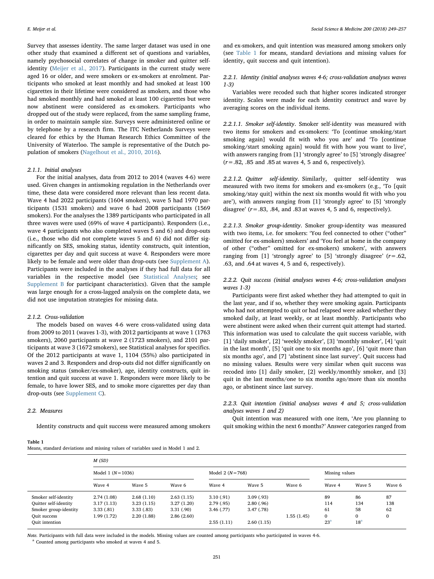Survey that assesses identity. The same larger dataset was used in one other study that examined a different set of questions and variables, namely psychosocial correlates of change in smoker and quitter selfidentity ([Meijer et al., 2017](#page-9-6)). Participants in the current study were aged 16 or older, and were smokers or ex-smokers at enrolment. Participants who smoked at least monthly and had smoked at least 100 cigarettes in their lifetime were considered as smokers, and those who had smoked monthly and had smoked at least 100 cigarettes but were now abstinent were considered as ex-smokers. Participants who dropped out of the study were replaced, from the same sampling frame, in order to maintain sample size. Surveys were administered online or by telephone by a research firm. The ITC Netherlands Surveys were cleared for ethics by the Human Research Ethics Committee of the University of Waterloo. The sample is representative of the Dutch population of smokers ([Nagelhout et al., 2010, 2016](#page-9-8)).

#### 2.1.1. Initial analyses

For the initial analyses, data from 2012 to 2014 (waves 4-6) were used. Given changes in antismoking regulation in the Netherlands over time, these data were considered more relevant than less recent data. Wave 4 had 2022 participants (1604 smokers), wave 5 had 1970 participants (1531 smokers) and wave 6 had 2008 participants (1569 smokers). For the analyses the 1389 participants who participated in all three waves were used (69% of wave 4 participants). Responders (i.e., wave 4 participants who also completed waves 5 and 6) and drop-outs (i.e., those who did not complete waves 5 and 6) did not differ significantly on SES, smoking status, identity constructs, quit intention, cigarettes per day and quit success at wave 4. Responders were more likely to be female and were older than drop-outs (see Supplement A). Participants were included in the analyses if they had full data for all variables in the respective model (see [Statistical Analyses](#page-4-0); see Supplement B for participant characteristics). Given that the sample was large enough for a cross-lagged analysis on the complete data, we did not use imputation strategies for missing data.

#### 2.1.2. Cross-validation

The models based on waves 4-6 were cross-validated using data from 2009 to 2011 (waves 1-3), with 2012 participants at wave 1 (1763 smokers), 2060 participants at wave 2 (1723 smokers), and 2101 participants at wave 3 (1672 smokers), see Statistical analyses for specifics. Of the 2012 participants at wave 1, 1104 (55%) also participated in waves 2 and 3. Responders and drop-outs did not differ significantly on smoking status (smoker/ex-smoker), age, identity constructs, quit intention and quit success at wave 1. Responders were more likely to be female, to have lower SES, and to smoke more cigarettes per day than drop-outs (see Supplement C).

#### 2.2. Measures

Identity constructs and quit success were measured among smokers

and ex-smokers, and quit intention was measured among smokers only (see [Table 1](#page-3-0) for means, standard deviations and missing values for identity, quit success and quit intention).

#### 2.2.1. Identity (initial analyses waves 4-6; cross-validation analyses waves 1-3)

Variables were recoded such that higher scores indicated stronger identity. Scales were made for each identity construct and wave by averaging scores on the individual items.

2.2.1.1. Smoker self-identity. Smoker self-identity was measured with two items for smokers and ex-smokers: 'To [continue smoking/start smoking again] would fit with who you are' and 'To [continue smoking/start smoking again] would fit with how you want to live', with answers ranging from [1] 'strongly agree' to [5] 'strongly disagree'  $(r=.82, .85$  and  $.85$  at waves 4, 5 and 6, respectively).

2.2.1.2. Quitter self-identity. Similarly, quitter self-identity was measured with two items for smokers and ex-smokers (e.g., 'To [quit smoking/stay quit] within the next six months would fit with who you are'), with answers ranging from [1] 'strongly agree' to [5] 'strongly disagree'  $(r=.83, .84,$  and  $.83$  at waves 4, 5 and 6, respectively).

2.2.1.3. Smoker group-identity. Smoker group-identity was measured with two items, i.e. for smokers: 'You feel connected to other ("other" omitted for ex-smokers) smokers' and 'You feel at home in the company of other ("other" omitted for ex-smokers) smokers', with answers ranging from [1] 'strongly agree' to [5] 'strongly disagree'  $(r=.62, ...)$ .63, and .64 at waves 4, 5 and 6, respectively).

2.2.2. Quit success (initial analyses waves 4-6; cross-validation analyses waves 1-3)

Participants were first asked whether they had attempted to quit in the last year, and if so, whether they were smoking again. Participants who had not attempted to quit or had relapsed were asked whether they smoked daily, at least weekly, or at least monthly. Participants who were abstinent were asked when their current quit attempt had started. This information was used to calculate the quit success variable, with [1] 'daily smoker', [2] 'weekly smoker', [3] 'monthly smoker', [4] 'quit in the last month', [5] 'quit one to six months ago', [6] 'quit more than six months ago', and [7] 'abstinent since last survey'. Quit success had no missing values. Results were very similar when quit success was recoded into [1] daily smoker, [2] weekly/monthly smoker, and [3] quit in the last months/one to six months ago/more than six months ago, or abstinent since last survey.

2.2.3. Quit intention (initial analyses waves 4 and 5; cross-validation analyses waves 1 and 2)

Quit intention was measured with one item, 'Are you planning to quit smoking within the next 6 months?' Answer categories ranged from

<span id="page-3-0"></span>Table 1 Means, standard deviations and missing values of variables used in Model 1 and 2.

|                       | M(SD)              |            |            |                   |            |                |                 |                 |          |  |  |
|-----------------------|--------------------|------------|------------|-------------------|------------|----------------|-----------------|-----------------|----------|--|--|
|                       | Model 1 $(N=1036)$ |            |            | Model 2 $(N=768)$ |            | Missing values |                 |                 |          |  |  |
|                       | Wave 4             | Wave 5     | Wave 6     | Wave 4            | Wave 5     | Wave 6         | Wave 4          | Wave 5          | Wave 6   |  |  |
| Smoker self-identity  | 2.74(1.08)         | 2.68(1.10) | 2.63(1.15) | 3.10(0.91)        | 3.09(0.93) |                | 89              | 86              | 87       |  |  |
| Quitter self-identity | 3.17(1.13)         | 3.23(1.15) | 3.27(1.20) | 2.79(0.95)        | 2.80(0.96) |                | 114             | 134             | 138      |  |  |
| Smoker group-identity | 3.33(.81)          | 3.33(.83)  | 3.31(0.90) | 3.46(0.77)        | 3.47(0.78) |                | 61              | 58              | 62       |  |  |
| Quit success          | 1.99 (1.72)        | 2.20(1.88) | 2.86(2.60) |                   |            | 1.55(1.45)     | $\Omega$        | $\Omega$        | $\Omega$ |  |  |
| <b>Ouit intention</b> |                    |            |            | 2.55(1.11)        | 2.60(1.15) |                | 23 <sup>a</sup> | 18 <sup>a</sup> |          |  |  |

<span id="page-3-1"></span>Note. Participants with full data were included in the models. Missing values are counted among participants who participated in waves 4-6. <sup>a</sup> Counted among participants who smoked at waves 4 and 5.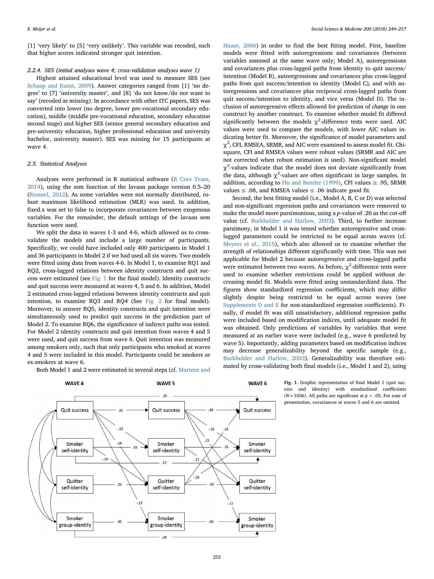[1] 'very likely' to [5] 'very unlikely'. This variable was recoded, such that higher scores indicated stronger quit intention.

### 2.2.4. SES (initial analyses wave 4; cross-validation analyses wave 1)

Highest attained educational level was used to measure SES (see [Schaap and Kunst, 2009](#page-9-9)). Answer categories ranged from [1] 'no degree' to [7] 'university master', and [8] 'do not know/do not want to say' (recoded as missing). In accordance with other ITC papers, SES was converted into lower (no degree, lower pre-vocational secondary education), middle (middle pre-vocational education, secondary education second stage) and higher SES (senior general secondary education and pre-university education, higher professional education and university bachelor, university master). SES was missing for 15 participants at wave 4.

#### <span id="page-4-0"></span>2.3. Statistical Analyses

Analyses were performed in R statistical software [\(R Core Team,](#page-9-10) [2014\)](#page-9-10), using the sem function of the lavaan package version 0.5–20 ([Rosseel, 2012\)](#page-9-11). As some variables were not normally distributed, robust maximum likelihood estimation (MLR) was used. In addition, fixed.x was set to false to incorporate covariances between exogenous variables. For the remainder, the default settings of the lavaan sem function were used.

We split the data in waves 1-3 and 4-6, which allowed us to crossvalidate the models and include a large number of participants. Specifically, we could have included only 400 participants in Model 1 and 36 participants in Model 2 if we had used all six waves. Two models were fitted using data from waves 4-6. In Model 1, to examine RQ1 and RQ2, cross-lagged relations between identity constructs and quit success were estimated (see [Fig. 1](#page-4-1) for the final model). Identity constructs and quit success were measured at waves 4, 5 and 6. In addition, Model 2 estimated cross-lagged relations between identity constructs and quit intention, to examine RQ3 and RQ4 (See [Fig. 2](#page-5-0) for final model). Moreover, to answer RQ5, identity constructs and quit intention were simultaneously used to predict quit success in the prediction part of Model 2. To examine RQ6, the significance of indirect paths was tested. For Model 2 identity constructs and quit intention from waves 4 and 5 were used, and quit success from wave 6. Quit intention was measured among smokers only, such that only participants who smoked at waves 4 and 5 were included in this model. Participants could be smokers or ex-smokers at wave 6.

Both Model 1 and 2 were estimated in several steps (cf. [Martens and](#page-9-12)

<span id="page-4-1"></span>**WAVF4 WAVE 5 WAVE 6**  $.25$ **Ouit success Ouit success** Quit success  $-15$  $-.16$  $.14$  $.15$  $\overline{14}$ Smoker Smoker Smoker  $31$ self-identity self-identity self-identity  $-28$  $.21$ ∔  $.12$  $.26$ Ouitter Ouitter Ouitter  $32$ self-identity self-identity self-identity  $.13$ Smoker Smoker Smoker group-identity group-identity group-identity ♦  $.28$ 

[Haase, 2006\)](#page-9-12) in order to find the best fitting model. First, baseline models were fitted with autoregressions and covariances (between variables assessed at the same wave only; Model A), autoregressions and covariances plus cross-lagged paths from identity to quit success/ intention (Model B), autoregressions and covariances plus cross-lagged paths from quit success/intention to identity (Model C), and with autoregressions and covariances plus reciprocal cross-lagged paths from quit success/intention to identity, and vice versa (Model D). The inclusion of autoregressive effects allowed for prediction of change in one construct by another construct. To examine whether model fit differed significantly between the models  $\chi^2$ -difference tests were used. AIC values were used to compare the models, with lower AIC values indicating better fit. Moreover, the significance of model parameters and  $\chi^2$ , CFI, RMSEA, SRMR, and AIC were examined to assess model fit. Chisquare, CFI and RMSEA values were robust values (SRMR and AIC are not corrected when robust estimation is used). Non-significant model  $\chi^2$ -values indicate that the model does not deviate significantly from the data, although  $\chi^2$ -values are often significant in large samples. In addition, according to [Hu and Bentler \(1999\),](#page-8-11) CFI values  $\geq$  .95, SRMR values  $\leq$  .08, and RMSEA values  $\leq$  .06 indicate good fit.

Second, the best fitting model (i.e., Model A, B, C or D) was selected and non-significant regression paths and covariances were removed to make the model more parsimonious, using a p-value of .20 as the cut-off value (cf. [Burkholder and Harlow, 2003](#page-8-12)). Third, to further increase parsimony, in Model 1 it was tested whether autoregressive and crosslagged parameters could be restricted to be equal across waves (cf. [Meyers et al., 2015\)](#page-9-13), which also allowed us to examine whether the strength of relationships different significantly with time. This was not applicable for Model 2 because autoregressive and cross-lagged paths were estimated between two waves. As before,  $\chi^2$ -difference tests were used to examine whether restrictions could be applied without decreasing model fit. Models were fitted using unstandardized data. The figures show standardized regression coefficients, which may differ slightly despite being restricted to be equal across waves (see Supplements D and E for non-standardized regression coefficients). Finally, if model fit was still unsatisfactory, additional regression paths were included based on modification indices, until adequate model fit was obtained. Only predictions of variables by variables that were measured at an earlier wave were included (e.g., wave 6 predicted by wave 5). Importantly, adding parameters based on modification indices may decrease generalizability beyond the specific sample (e.g., [Burkholder and Harlow, 2003\)](#page-8-12). Generalizability was therefore estimated by cross-validating both final models (i.e., Model 1 and 2), using

> Fig. 1. Graphic representation of final Model 1 (quit success and identity) with standardized coefficients ( $N=1036$ ). All paths are significant at  $p < .05$ . For ease of presentation, covariances at waves 5 and 6 are omitted.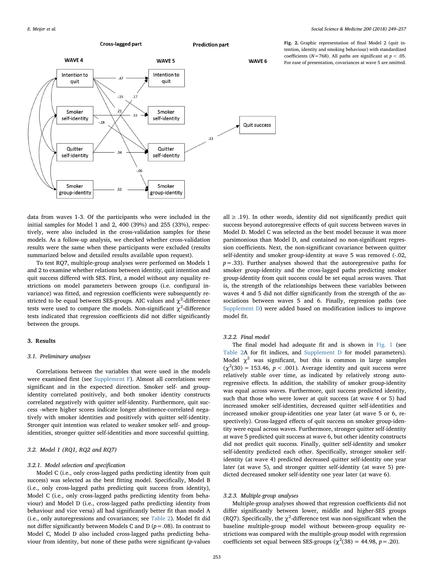<span id="page-5-0"></span>

Fig. 2. Graphic representation of final Model 2 (quit intention, identity and smoking behaviour) with standardized coefficients ( $N=768$ ). All paths are significant at  $p < .05$ . For ease of presentation, covariances at wave 5 are omitted.

data from waves 1-3. Of the participants who were included in the initial samples for Model 1 and 2, 400 (39%) and 255 (33%), respectively, were also included in the cross-validation samples for these models. As a follow-up analysis, we checked whether cross-validation results were the same when these participants were excluded (results summarized below and detailed results available upon request).

To test RQ7, multiple-group analyses were performed on Models 1 and 2 to examine whether relations between identity, quit intention and quit success differed with SES. First, a model without any equality restrictions on model parameters between groups (i.e. configural invariance) was fitted, and regression coefficients were subsequently restricted to be equal between SES-groups. AIC values and  $\chi^2$ -difference tests were used to compare the models. Non-significant  $\chi^2$ -difference tests indicated that regression coefficients did not differ significantly between the groups.

#### 3. Results

#### 3.1. Preliminary analyses

Correlations between the variables that were used in the models were examined first (see Supplement F). Almost all correlations were significant and in the expected direction. Smoker self- and groupidentity correlated positively, and both smoker identity constructs correlated negatively with quitter self-identity. Furthermore, quit success -where higher scores indicate longer abstinence-correlated negatively with smoker identities and positively with quitter self-identity. Stronger quit intention was related to weaker smoker self- and groupidentities, stronger quitter self-identities and more successful quitting.

### 3.2. Model 1 (RQ1, RQ2 and RQ7)

#### 3.2.1. Model selection and specification

Model C (i.e., only cross-lagged paths predicting identity from quit success) was selected as the best fitting model. Specifically, Model B (i.e., only cross-lagged paths predicting quit success from identity), Model C (i.e., only cross-lagged paths predicting identity from behaviour) and Model D (i.e., cross-lagged paths predicting identity from behaviour and vice versa) all had significantly better fit than model A (i.e., only autoregressions and covariances; see [Table 2](#page-6-0)). Model fit did not differ significantly between Models C and D ( $p = .08$ ). In contrast to Model C, Model D also included cross-lagged paths predicting behaviour from identity, but none of these paths were significant (p-values

all ≥ .19). In other words, identity did not significantly predict quit success beyond autoregressive effects of quit success between waves in Model D. Model C was selected as the best model because it was more parsimonious than Model D, and contained no non-significant regression coefficients. Next, the non-significant covariance between quitter self-identity and smoker group-identity at wave 5 was removed (-.02,  $p = .33$ ). Further analyses showed that the autoregressive paths for smoker group-identity and the cross-lagged paths predicting smoker group-identity from quit success could be set equal across waves. That is, the strength of the relationships between these variables between waves 4 and 5 did not differ significantly from the strength of the associations between waves 5 and 6. Finally, regression paths (see Supplement D) were added based on modification indices to improve model fit.

#### 3.2.2. Final model

The final model had adequate fit and is shown in [Fig. 1](#page-4-1) (see [Table 2A](#page-6-0) for fit indices, and Supplement D for model parameters). Model  $\chi^2$  was significant, but this is common in large samples  $(\chi^2(30) = 153.46, p < .001)$ . Average identity and quit success were relatively stable over time, as indicated by relatively strong autoregressive effects. In addition, the stability of smoker group-identity was equal across waves. Furthermore, quit success predicted identity, such that those who were lower at quit success (at wave 4 or 5) had increased smoker self-identities, decreased quitter self-identities and increased smoker group-identities one year later (at wave 5 or 6, respectively). Cross-lagged effects of quit success on smoker group-identity were equal across waves. Furthermore, stronger quitter self-identity at wave 5 predicted quit success at wave 6, but other identity constructs did not predict quit success. Finally, quitter self-identity and smoker self-identity predicted each other. Specifically, stronger smoker selfidentity (at wave 4) predicted decreased quitter self-identity one year later (at wave 5), and stronger quitter self-identity (at wave 5) predicted decreased smoker self-identity one year later (at wave 6).

#### 3.2.3. Multiple-group analyses

Multiple-group analyses showed that regression coefficients did not differ significantly between lower, middle and higher-SES groups (RQ7). Specifically, the  $\chi^2$ -difference test was non-significant when the baseline multiple-group model without between-group equality restrictions was compared with the multiple-group model with regression coefficients set equal between SES-groups ( $\chi^2(38) = 44.98$ ,  $p = .20$ ).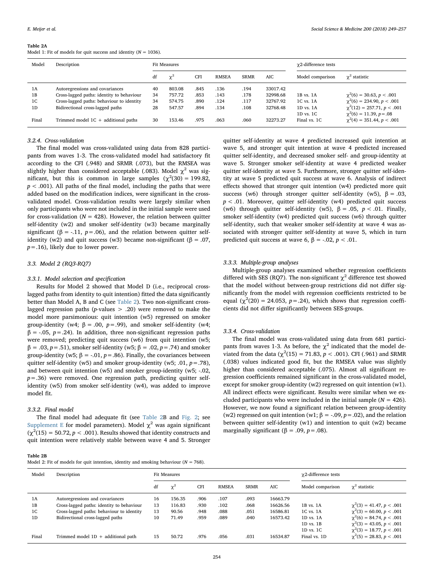#### <span id="page-6-0"></span>Table 2A Model 1: Fit of models for quit success and identity ( $N = 1036$ ).

| Model          | Description                               |    | <b>Fit Measures</b> |            |              |             |            | $\gamma$ 2-difference tests |                                  |  |
|----------------|-------------------------------------------|----|---------------------|------------|--------------|-------------|------------|-----------------------------|----------------------------------|--|
|                |                                           | df | $\chi^2$            | <b>CFI</b> | <b>RMSEA</b> | <b>SRMR</b> | <b>AIC</b> | Model comparison            | $\gamma^2$ statistic             |  |
| 1A             | Autoregressions and covariances           | 40 | 803.08              | .845       | .136         | .194        | 33017.42   |                             |                                  |  |
| 1B             | Cross-lagged paths: identity to behaviour | 34 | 757.72              | .853       | .143         | .178        | 32998.68   | 1B vs. 1A                   | $\chi^2(6) = 30.63, p < .001$    |  |
| 1 <sup>C</sup> | Cross-lagged paths: behaviour to identity | 34 | 574.75              | .890       | .124         | .117        | 32767.92   | 1C vs. 1A                   | $\chi^2(6) = 234.90, p < .001$   |  |
| 1D             | Bidirectional cross-lagged paths          | 28 | 547.57              | .894       | .134         | .108        | 32768.48   | $1D$ vs. $1A$               | $\chi^2(12) = 257.71, p < .001$  |  |
|                |                                           |    |                     |            |              |             |            | $1D$ vs. $1C$               | $\chi^2(6) = 11.39, p = .08$     |  |
| Final          | Trimmed model $1C +$ additional paths     | 30 | 153.46              | .975       | .063         | .060        | 32273.27   | Final vs. 1C                | $\gamma^2(4) = 351.44, p < .001$ |  |

#### 3.2.4. Cross-validation

The final model was cross-validated using data from 828 participants from waves 1-3. The cross-validated model had satisfactory fit according to the CFI (.948) and SRMR (.073), but the RMSEA was slightly higher than considered acceptable (.083). Model  $\chi^2$  was sigmificant, but this is common in large samples  $(\chi^2(30) = 199.82)$ ,  $p < .001$ ). All paths of the final model, including the paths that were added based on the modification indices, were significant in the crossvalidated model. Cross-validation results were largely similar when only participants who were not included in the initial sample were used for cross-validation ( $N = 428$ ). However, the relation between quitter self-identity (w2) and smoker self-identity (w3) became marginally significant ( $\beta$  = -.11,  $p$  = .06), and the relation between quitter selfidentity (w2) and quit success (w3) became non-significant ( $\beta = .07$ ,  $p = .16$ ), likely due to lower power.

#### 3.3. Model 2 (RQ3-RQ7)

#### 3.3.1. Model selection and specification

Results for Model 2 showed that Model D (i.e., reciprocal crosslagged paths from identity to quit intention) fitted the data significantly better than Model A, B and C (see [Table 2\)](#page-6-1). Two non-significant crosslagged regression paths (p-values > .20) were removed to make the model more parsimonious: quit intention (w5) regressed on smoker group-identity (w4;  $\beta$  = .00, p = .99), and smoker self-identity (w4;  $β = -.05, p = .24$ ). In addition, three non-significant regression paths were removed; predicting quit success (w6) from quit intention (w5;  $β = .03, p = .51$ , smoker self-identity (w5;  $β = .02, p = .74$ ) and smoker group-identity (w5;  $\beta = -.01$ ,  $p = .86$ ). Finally, the covariances between quitter self-identity (w5) and smoker group-identity (w5; .01,  $p = .78$ ), and between quit intention (w5) and smoker group-identity (w5; -.02,  $p = .36$ ) were removed. One regression path, predicting quitter selfidentity (w5) from smoker self-identity (w4), was added to improve model fit.

## 3.3.2. Final model

The final model had adequate fit (see [Table 2B](#page-6-1) and [Fig. 2](#page-5-0); see Supplement E for model parameters). Model  $\chi^2$  was again significant  $(\chi^2(15) = 50.72, p < .001)$ . Results showed that identity constructs and quit intention were relatively stable between wave 4 and 5. Stronger

#### <span id="page-6-1"></span>Table 2B

Model 2: Fit of models for quit intention, identity and smoking behaviour ( $N = 768$ ).

quitter self-identity at wave 4 predicted increased quit intention at wave 5, and stronger quit intention at wave 4 predicted increased quitter self-identity, and decreased smoker self- and group-identity at wave 5. Stronger smoker self-identity at wave 4 predicted weaker quitter self-identity at wave 5. Furthermore, stronger quitter self-identity at wave 5 predicted quit success at wave 6. Analysis of indirect effects showed that stronger quit intention (w4) predicted more quit success (w6) through stronger quitter self-identity (w5),  $\beta = .03$ ,  $p < .01$ . Moreover, quitter self-identity (w4) predicted quit success (w6) through quitter self-identity (w5),  $\beta = .05$ ,  $p < .01$ . Finally, smoker self-identity (w4) predicted quit success (w6) through quitter self-identity, such that weaker smoker self-identity at wave 4 was associated with stronger quitter self-identity at wave 5, which in turn predicted quit success at wave 6,  $\beta = -0.02$ ,  $p < 0.01$ .

#### 3.3.3. Multiple-group analyses

Multiple-group analyses examined whether regression coefficients differed with SES (RQ7). The non-significant  $\chi^2$  difference test showed that the model without between-group restrictions did not differ significantly from the model with regression coefficients restricted to be equal ( $\chi^2(20) = 24.053$ ,  $p = .24$ ), which shows that regression coefficients did not differ significantly between SES-groups.

#### 3.3.4. Cross-validation

The final model was cross-validated using data from 681 participants from waves 1-3. As before, the  $\chi^2$  indicated that the model deviated from the data ( $\chi^2(15) = 71.83$ ,  $p < .001$ ). CFI (.961) and SRMR (.038) values indicated good fit, but the RMSEA value was slightly higher than considered acceptable (.075). Almost all significant regression coefficients remained significant in the cross-validated model, except for smoker group-identity (w2) regressed on quit intention (w1). All indirect effects were significant. Results were similar when we excluded participants who were included in the initial sample ( $N = 426$ ). However, we now found a significant relation between group-identity (w2) regressed on quit intention (w1; β = -.09,  $p$  = .02), and the relation between quitter self-identity (w1) and intention to quit (w2) became marginally significant ( $\beta = .09$ ,  $p = .08$ ).

| Model | Description                               | <b>Fit Measures</b> |          |      |              |             | $\gamma$ 2-difference tests |                  |                                 |
|-------|-------------------------------------------|---------------------|----------|------|--------------|-------------|-----------------------------|------------------|---------------------------------|
|       |                                           | df                  | $\chi^2$ | CFI  | <b>RMSEA</b> | <b>SRMR</b> | AIC                         | Model comparison | $\gamma^2$ statistic            |
| 1A    | Autoregressions and covariances           | 16                  | 156.35   | .906 | .107         | .093        | 16663.79                    |                  |                                 |
| 1B    | Cross-lagged paths: identity to behaviour | 13                  | 116.83   | .930 | .102         | .068        | 16626.56                    | 1B vs. 1A        | $\chi^2(3) = 41.47, p < .001$   |
| 1C    | Cross-lagged paths: behaviour to identity | 13                  | 90.56    | .948 | .088         | .051        | 16586.81                    | 1C vs. 1A        | $\chi^2(3) = 60.00, p < .001$   |
| 1D    | Bidirectional cross-lagged paths          | 10                  | 71.49    | .959 | .089         | .040        | 16573.42                    | $1D$ vs. $1A$    | $\chi^2(6) = 84.74, p < .001$   |
|       |                                           |                     |          |      |              |             |                             | $1D$ vs. $1B$    | $\chi^2(3) = 43.05, p < .001$   |
|       |                                           |                     |          |      |              |             |                             | 1D vs. 1C        | $\gamma^2(3) = 18.77, p < .001$ |
| Final | Trimmed model $1D +$ additional path      | 15                  | 50.72    | .976 | .056         | .031        | 16534.87                    | Final vs. 1D     | $\chi^2(5) = 28.83, p < .001$   |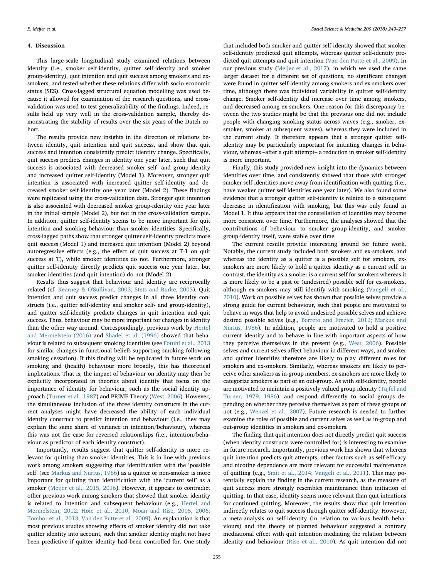#### 4. Discussion

This large-scale longitudinal study examined relations between identity (i.e., smoker self-identity, quitter self-identity and smoker group-identity), quit intention and quit success among smokers and exsmokers, and tested whether these relations differ with socio-economic status (SES). Cross-lagged structural equation modelling was used because it allowed for examination of the research questions, and crossvalidation was used to test generalizability of the findings. Indeed, results held up very well in the cross-validation sample, thereby demonstrating the stability of results over the six years of the Dutch cohort.

The results provide new insights in the direction of relations between identity, quit intention and quit success, and show that quit success and intention consistently predict identity change. Specifically, quit success predicts changes in identity one year later, such that quit success is associated with decreased smoker self- and group-identity and increased quitter self-identity (Model 1). Moreover, stronger quit intention is associated with increased quitter self-identity and decreased smoker self-identity one year later (Model 2). These findings were replicated using the cross-validation data. Stronger quit intention is also associated with decreased smoker group-identity one year later in the initial sample (Model 2), but not in the cross-validation sample. In addition, quitter self-identity seems to be more important for quit intention and smoking behaviour than smoker identities. Specifically, cross-lagged paths show that stronger quitter self-identity predicts more quit success (Model 1) and increased quit intention (Model 2) beyond autoregressive effects (e.g., the effect of quit success at T-1 on quit success at T), while smoker identities do not. Furthermore, stronger quitter self-identity directly predicts quit success one year later, but smoker identities (and quit intention) do not (Model 2).

Results thus suggest that behaviour and identity are reciprocally related (cf. [Kearney & O'Sullivan, 2003; Stets and Burke, 2003\)](#page-8-8). Quit intention and quit success predict changes in all three identity constructs (i.e., quitter self-identity and smoker self- and group-identity), and quitter self-identity predicts changes in quit intention and quit success. Thus, behaviour may be more important for changes in identity than the other way around. Correspondingly, previous work by [Hertel](#page-8-5) [and Mermelstein \(2016\)](#page-8-5) and [Shadel et al. \(1996\)](#page-9-4) showed that behaviour is related to subsequent smoking identities (see [Fotuhi et al., 2013](#page-8-13) for similar changes in functional beliefs supporting smoking following smoking cessation). If this finding will be replicated in future work on smoking and (health) behaviour more broadly, this has theoretical implications. That is, the impact of behaviour on identity may then be explicitly incorporated in theories about identity that focus on the importance of identity for behaviour, such as the social identity approach ([Turner et al., 1987](#page-9-14)) and PRIME Theory [\(West, 2006\)](#page-9-0). However, the simultaneous inclusion of the three identity constructs in the current analyses might have decreased the ability of each individual identity construct to predict intention and behaviour (i.e., they may explain the same share of variance in intention/behaviour), whereas this was not the case for reversed relationships (i.e., intention/behaviour as predictor of each identity construct).

Importantly, results suggest that quitter self-identity is more relevant for quitting than smoker identities. This is in line with previous work among smokers suggesting that identification with the 'possible self' (see [Markus and Nurius, 1986\)](#page-9-15) as a quitter or non-smoker is more important for quitting than identification with the 'current self' as a smoker [\(Meijer et al., 2015, 2016](#page-9-3)). However, it appears to contradict other previous work among smokers that showed that smoker identity is related to intention and subsequent behaviour (e.g., [Hertel and](#page-8-1) [Mermelstein, 2012; Høie et al., 2010; Moan and Rise, 2005, 2006;](#page-8-1) [Tombor et al., 2013; Van den Putte et al., 2009\)](#page-8-1). An explanation is that most previous studies showing effects of smoker identity did not take quitter identity into account, such that smoker identity might not have been predictive if quitter identity had been controlled for. One study

that included both smoker and quitter self-identity showed that smoker self-identity predicted quit attempts, whereas quitter self-identity predicted quit attempts and quit intention ([Van den Putte et al., 2009\)](#page-9-16). In our previous study ([Meijer et al., 2017\)](#page-9-6), in which we used the same larger dataset for a different set of questions, no significant changes were found in quitter self-identity among smokers and ex-smokers over time, although there was individual variability in quitter self-identity change. Smoker self-identity did increase over time among smokers, and decreased among ex-smokers. One reason for this discrepancy between the two studies might be that the previous one did not include people with changing smoking status across waves (e.g., smoker, exsmoker, smoker at subsequent waves), whereas they were included in the current study. It therefore appears that a stronger quitter selfidentity may be particularly important for initiating changes in behaviour, whereas –after a quit attempt– a reduction in smoker self-identity is more important.

Finally, this study provided new insight into the dynamics between identities over time, and consistently showed that those with stronger smoker self-identities move away from identification with quitting (i.e., have weaker quitter self-identities one year later). We also found some evidence that a stronger quitter self-identity is related to a subsequent decrease in identification with smoking, but this was only found in Model 1. It thus appears that the constellation of identities may become more consistent over time. Furthermore, the analyses showed that the contributions of behaviour to smoker group-identity, and smoker group-identity itself, were stable over time.

The current results provide interesting ground for future work. Notably, the current study included both smokers and ex-smokers, and whereas the identity as a quitter is a possible self for smokers, exsmokers are more likely to hold a quitter identity as a current self. In contrast, the identity as a smoker is a current self for smokers whereas it is more likely to be a past or (undesired) possible self for ex-smokers, although ex-smokers may still identify with smoking [\(Vangeli et al.,](#page-9-17) [2010\)](#page-9-17). Work on possible selves has shown that possible selves provide a strong guide for current behaviour, such that people are motivated to behave in ways that help to avoid undesired possible selves and achieve desired possible selves (e.g., [Barreto and Frazier, 2012; Markus and](#page-8-0) [Nurius, 1986](#page-8-0)). In addition, people are motivated to hold a positive current identity and to behave in line with important aspects of how they perceive themselves in the present (e.g., [West, 2006](#page-9-0)). Possible selves and current selves affect behaviour in different ways, and smoker and quitter identities therefore are likely to play different roles for smokers and ex-smokers. Similarly, whereas smokers are likely to perceive other smokers as in-group members, ex-smokers are more likely to categorize smokers as part of an out-group. As with self-identity, people are motivated to maintain a positively valued group identity ([Tajfel and](#page-9-1) [Turner, 1979, 1986](#page-9-1)), and respond differently to social groups depending on whether they perceive themselves as part of these groups or not (e.g., [Wenzel et al., 2007](#page-9-18)). Future research is needed to further examine the roles of possible and current selves as well as in-group and out-group identities in smokers and ex-smokers.

The finding that quit intention does not directly predict quit success (when identity constructs were controlled for) is interesting to examine in future research. Importantly, previous work has shown that whereas quit intention predicts quit attempts, other factors such as self-efficacy and nicotine dependence are more relevant for successful maintenance of quitting (e.g., [Smit et al., 2014; Vangeli et al., 2011\)](#page-9-2). This may potentially explain the finding in the current research, as the measure of quit success more strongly resembles maintenance than initiation of quitting. In that case, identity seems more relevant than quit intentions for continued quitting. Moreover, the results show that quit intention indirectly relates to quit success through quitter self-identity. However, a meta-analysis on self-identity (in relation to various health behaviours) and the theory of planned behaviour suggested a contrary mediational effect with quit intention mediating the relation between identity and behaviour [\(Rise et al., 2010](#page-9-19)). As quit intention did not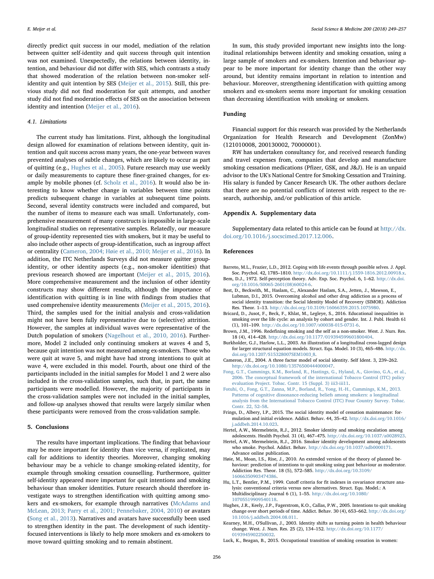directly predict quit success in our model, mediation of the relation between quitter self-identity and quit success through quit intention was not examined. Unexpectedly, the relations between identity, intention, and behaviour did not differ with SES, which contrasts a study that showed moderation of the relation between non-smoker selfidentity and quit intention by SES [\(Meijer et al., 2015\)](#page-9-3). Still, this previous study did not find moderation for quit attempts, and another study did not find moderation effects of SES on the association between identity and intention [\(Meijer et al., 2016](#page-9-7)).

#### 4.1. Limitations

The current study has limitations. First, although the longitudinal design allowed for examination of relations between identity, quit intention and quit success across many years, the one-year between waves prevented analyses of subtle changes, which are likely to occur as part of quitting (e.g., [Hughes et al., 2005\)](#page-8-14). Future research may use weekly or daily measurements to capture these finer-grained changes, for example by mobile phones (cf. [Scholz et al., 2016\)](#page-9-20). It would also be interesting to know whether change in variables between time points predicts subsequent change in variables at subsequent time points. Second, several identity constructs were included and compared, but the number of items to measure each was small. Unfortunately, comprehensive measurement of many constructs is impossible in large-scale longitudinal studies on representative samples. Relatedly, our measure of group-identity represented ties with smokers, but it may be useful to also include other aspects of group-identification, such as ingroup affect or centrality [\(Cameron, 2004; Høie et al., 2010; Meijer et al., 2016\)](#page-8-15). In addition, the ITC Netherlands Surveys did not measure quitter groupidentity, or other identity aspects (e.g., non-smoker identities) that previous research showed are important ([Meijer et al., 2015, 2016](#page-9-3)). More comprehensive measurement and the inclusion of other identity constructs may show different results, although the importance of identification with quitting is in line with findings from studies that used comprehensive identity measurements [\(Meijer et al., 2015, 2016](#page-9-3)). Third, the samples used for the initial analysis and cross-validation might not have been fully representative due to (selective) attrition. However, the samples at individual waves were representative of the Dutch population of smokers ([Nagelhout et al., 2010, 2016\)](#page-9-8). Furthermore, Model 2 included only continuing smokers at waves 4 and 5, because quit intention was not measured among ex-smokers. Those who were quit at wave 5, and might have had strong intentions to quit at wave 4, were excluded in this model. Fourth, about one third of the participants included in the initial samples for Model 1 and 2 were also included in the cross-validation samples, such that, in part, the same participants were modelled. However, the majority of participants in the cross-validation samples were not included in the initial samples, and follow-up analyses showed that results were largely similar when these participants were removed from the cross-validation sample.

#### 5. Conclusions

The results have important implications. The finding that behaviour may be more important for identity than vice versa, if replicated, may call for additions to identity theories. Moreover, changing smoking behaviour may be a vehicle to change smoking-related identity, for example through smoking cessation counselling. Furthermore, quitter self-identity appeared more important for quit intentions and smoking behaviour than smoker identities. Future research should therefore investigate ways to strengthen identification with quitting among smokers and ex-smokers, for example through narratives [\(McAdams and](#page-9-21) [McLean, 2013; Parry et al., 2001; Pennebaker, 2004, 2010](#page-9-21)) or avatars ([Song et al., 2013](#page-9-22)). Narratives and avatars have successfully been used to strengthen identity in the past. The development of such identityfocused interventions is likely to help more smokers and ex-smokers to move toward quitting smoking and to remain abstinent.

In sum, this study provided important new insights into the longitudinal relationships between identity and smoking cessation, using a large sample of smokers and ex-smokers. Intention and behaviour appear to be more important for identity change than the other way around, but identity remains important in relation to intention and behaviour. Moreover, strengthening identification with quitting among smokers and ex-smokers seems more important for smoking cessation than decreasing identification with smoking or smokers.

#### Funding

Financial support for this research was provided by the Netherlands Organization for Health Research and Development (ZonMw) (121010008, 200130002, 70000001).

RW has undertaken consultancy for, and received research funding and travel expenses from, companies that develop and manufacture smoking cessation medications (Pfizer, GSK, and J&J). He is an unpaid advisor to the UK's National Centre for Smoking Cessation and Training. His salary is funded by Cancer Research UK. The other authors declare that there are no potential conflicts of interest with respect to the research, authorship, and/or publication of this article.

#### Appendix A. Supplementary data

Supplementary data related to this article can be found at [http://dx.](http://dx.doi.org/10.1016/j.socscimed.2017.12.006) [doi.org/10.1016/j.socscimed.2017.12.006](http://dx.doi.org/10.1016/j.socscimed.2017.12.006).

#### References

- <span id="page-8-0"></span>Barreto, M.L., Frazier, L.D., 2012. Coping with life events through possible selves. J. Appl. Soc. Psychol. 42, 1785–1810. [http://dx.doi.org/10.1111/j.1559-1816.2012.00918.x.](http://dx.doi.org/10.1111/j.1559-1816.2012.00918.x)
- <span id="page-8-4"></span>Bem, D.J., 1972. Self-perception theory. Adv. Exp. Soc. Psychol. 6, 1–62. [http://dx.doi.](http://dx.doi.org/10.1016/S0065-2601(08)60024-6) [org/10.1016/S0065-2601\(08\)60024-6](http://dx.doi.org/10.1016/S0065-2601(08)60024-6).
- <span id="page-8-3"></span>Best, D., Beckwith, M., Haslam, C., Alexander Haslam, S.A., Jetten, J., Mawson, E., Lubman, D.I., 2015. Overcoming alcohol and other drug addiction as a process of social identity transition: the Social Identity Model of Recovery (SIMOR). Addiction Res. Theor. 1–13. <http://dx.doi.org/10.3109/16066359.2015.1075980>.
- <span id="page-8-9"></span>Bricard, D., Jusot, F., Beck, F., Khlat, M., Legleye, S., 2016. Educational inequalities in smoking over the life cycle: an analysis by cohort and gender. Int. J. Publ. Health 61 (1), 101–109. [http://dx.doi.org/10.1007/s00038-015-0731-6.](http://dx.doi.org/10.1007/s00038-015-0731-6)
- <span id="page-8-6"></span>Brown, J.M., 1996. Redefining smoking and the self as a non-smoker. West. J. Nurs. Res. 18 (4), 414–428. <http://dx.doi.org/10.1177/019394599601800404>.
- <span id="page-8-12"></span>Burkholder, G.J., Harlow, L.L., 2003. An illustration of a longitudinal cross-lagged design for larger structural equation models. Struct. Equ. Model. 10 (3), 465–486. [http://dx.](http://dx.doi.org/10.1207/S15328007SEM1003_8) [doi.org/10.1207/S15328007SEM1003\\_8.](http://dx.doi.org/10.1207/S15328007SEM1003_8)
- <span id="page-8-15"></span>Cameron, J.E., 2004. A three factor model of social identity. Self Ident. 3, 239–262. <http://dx.doi.org/10.1080/13576500444000047>.
- <span id="page-8-10"></span>[Fong, G.T., Cummings, K.M., Borland, R., Hastings, G., Hyland, A., Giovino, G.A., et al.,](http://refhub.elsevier.com/S0277-9536(17)30736-0/sref8) [2006. The conceptual framework of the international Tobacco Control \(ITC\) policy](http://refhub.elsevier.com/S0277-9536(17)30736-0/sref8) [evaluation Project. Tobac. Contr. 15 \(Suppl. 3\) iii3-iii11.](http://refhub.elsevier.com/S0277-9536(17)30736-0/sref8)
- <span id="page-8-13"></span>[Fotuhi, O., Fong, G.T., Zanna, M.P., Borland, R., Yong, H.-H., Cummings, K.M., 2013.](http://refhub.elsevier.com/S0277-9536(17)30736-0/sref9) [Patterns of cognitive dissonance-reducing beliefs among smokers: a longitudinal](http://refhub.elsevier.com/S0277-9536(17)30736-0/sref9) [analysis from the International Tobacco Control \(ITC\) Four Country Survey. Tobac.](http://refhub.elsevier.com/S0277-9536(17)30736-0/sref9) [Contr. 22, 52](http://refhub.elsevier.com/S0277-9536(17)30736-0/sref9)–58.
- <span id="page-8-2"></span>Frings, D., Albery, I.P., 2015. The social identity model of cessation maintenance: formulation and initial evidence. Addict. Behav. 44, 35–42. [http://dx.doi.org/10.1016/](http://dx.doi.org/10.1016/j.addbeh.2014.10.023) [j.addbeh.2014.10.023.](http://dx.doi.org/10.1016/j.addbeh.2014.10.023)
- <span id="page-8-1"></span>Hertel, A.W., Mermelstein, R.J., 2012. Smoker identity and smoking escalation among adolescents. Health Psychol. 31 (4), 467–475. [http://dx.doi.org/10.1037/a0028923.](http://dx.doi.org/10.1037/a0028923)
- <span id="page-8-5"></span>Hertel, A.W., Mermelstein, R.J., 2016. Smoker identity development among adolescents who smoke. Psychol. Addict. Behav. [http://dx.doi.org/10.1037/adb0000171.](http://dx.doi.org/10.1037/adb0000171) [Advance online publication.](http://dx.doi.org/10.1037/adb0000171)
- Høie, M., Moan, I.S., Rise, J., 2010. An extended version of the theory of planned behaviour: prediction of intentions to quit smoking using past behaviour as moderator. Addiction Res. Theor. 18 (5), 572–585. [http://dx.doi.org/10.3109/](http://dx.doi.org/10.3109/16066350903474386) [16066350903474386.](http://dx.doi.org/10.3109/16066350903474386)
- <span id="page-8-11"></span>Hu, L.T., Bentler, P.M., 1999. Cutoff criteria for fit indexes in covariance structure analysis: conventional criteria versus new alternatives. Struct. Equ. Model.: A Multidisciplinary Journal 6 (1), 1–55. [http://dx.doi.org/10.1080/](http://dx.doi.org/10.1080/10705519909540118) [10705519909540118.](http://dx.doi.org/10.1080/10705519909540118)
- <span id="page-8-14"></span>Hughes, J.R., Keely, J.P., Fagerstrom, K.O., Callas, P.W., 2005. Intentions to quit smoking change over short periods of time. Addict. Behav. 30 (4), 653–662. [http://dx.doi.org/](http://dx.doi.org/10.1016/j.addbeh.2004.08.011) [10.1016/j.addbeh.2004.08.011](http://dx.doi.org/10.1016/j.addbeh.2004.08.011).
- <span id="page-8-8"></span>Kearney, M.H., O'Sullivan, J., 2003. Identity shifts as turning points in health behaviour change. West. J. Nurs. Res. 25 (2), 134–152. [http://dx.doi.org/10.1177/](http://dx.doi.org/10.1177/0193945902250032) [0193945902250032.](http://dx.doi.org/10.1177/0193945902250032)
- <span id="page-8-7"></span>Luck, K., Beagan, B., 2015. Occupational transition of smoking cessation in women: